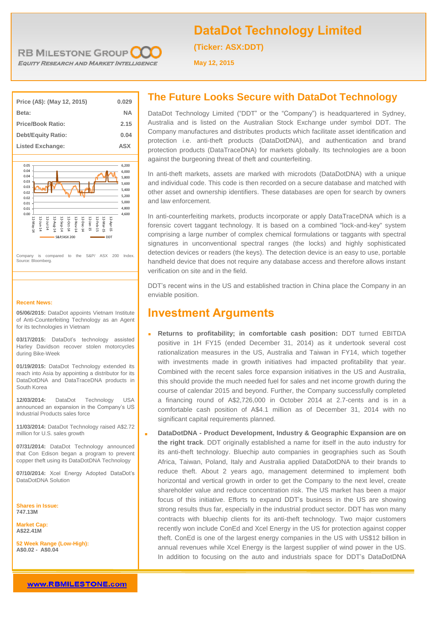

**DataDot Technology Limited**

**(Ticker: ASX:DDT)**

**May 12, 2015**

| Price (A\$): (May 12, 2015) | 0.029     |
|-----------------------------|-----------|
| Beta:                       | <b>NA</b> |
| <b>Price/Book Ratio:</b>    | 2.15      |
| <b>Debt/Equity Ratio:</b>   | 0.04      |
| <b>Listed Exchange:</b>     | ASX       |



Company is compared to the S&P/ ASX 200 Index. Source: Bloomberg.

#### **Recent News:**

**05/06/2015:** DataDot appoints Vietnam Institute of Anti-Counterfeiting Technology as an Agent for its technologies in Vietnam

**03/17/2015:** DataDot's technology assisted Harley Davidson recover stolen motorcycles during Bike-Week

**01/19/2015:** DataDot Technology extended its reach into Asia by appointing a distributor for its DataDotDNA and DataTraceDNA products in South Korea

**12/03/2014:** DataDot Technology USA announced an expansion in the Company's US Industrial Products sales force

**11/03/2014:** DataDot Technology raised A\$2.72 million for U.S. sales growth

**07/31/2014:** DataDot Technology announced that Con Edison began a program to prevent copper theft using its DataDotDNA Technology

**07/10/2014:** Xcel Energy Adopted DataDot's DataDotDNA Solution

**Shares in Issue: 747.13M**

**Market Cap: A\$22.41M**

**52 Week Range (Low-High): A\$0.02 - A\$0.04**

## **The Future Looks Secure with DataDot Technology**

DataDot Technology Limited ("DDT" or the "Company") is headquartered in Sydney, Australia and is listed on the Australian Stock Exchange under symbol DDT. The Company manufactures and distributes products which facilitate asset identification and protection i.e. anti-theft products (DataDotDNA), and authentication and brand protection products (DataTraceDNA) for markets globally. Its technologies are a boon against the burgeoning threat of theft and counterfeiting.

In anti-theft markets, assets are marked with microdots (DataDotDNA) with a unique and individual code. This code is then recorded on a secure database and matched with other asset and ownership identifiers. These databases are open for search by owners and law enforcement.

In anti-counterfeiting markets, products incorporate or apply DataTraceDNA which is a forensic covert taggant technology. It is based on a combined "lock-and-key" system comprising a large number of complex chemical formulations or taggants with spectral signatures in unconventional spectral ranges (the locks) and highly sophisticated detection devices or readers (the keys). The detection device is an easy to use, portable handheld device that does not require any database access and therefore allows instant verification on site and in the field.

DDT's recent wins in the US and established traction in China place the Company in an enviable position.

## **Investment Arguments**

- **Returns to profitability; in comfortable cash position:** DDT turned EBITDA positive in 1H FY15 (ended December 31, 2014) as it undertook several cost rationalization measures in the US, Australia and Taiwan in FY14, which together with investments made in growth initiatives had impacted profitability that year. Combined with the recent sales force expansion initiatives in the US and Australia, this should provide the much needed fuel for sales and net income growth during the course of calendar 2015 and beyond. Further, the Company successfully completed a financing round of A\$2,726,000 in October 2014 at 2.7-cents and is in a comfortable cash position of A\$4.1 million as of December 31, 2014 with no significant capital requirements planned.
- **DataDotDNA - Product Development, Industry & Geographic Expansion are on the right track**. DDT originally established a name for itself in the auto industry for its anti-theft technology. Bluechip auto companies in geographies such as South Africa, Taiwan, Poland, Italy and Australia applied DataDotDNA to their brands to reduce theft. About 2 years ago, management determined to implement both horizontal and vertical growth in order to get the Company to the next level, create shareholder value and reduce concentration risk. The US market has been a major focus of this initiative. Efforts to expand DDT's business in the US are showing strong results thus far, especially in the industrial product sector. DDT has won many contracts with bluechip clients for its anti-theft technology. Two major customers recently won include ConEd and Xcel Energy in the US for protection against copper theft. ConEd is one of the largest energy companies in the US with US\$12 billion in annual revenues while Xcel Energy is the largest supplier of wind power in the US. In addition to focusing on the auto and industrials space for DDT's DataDotDNA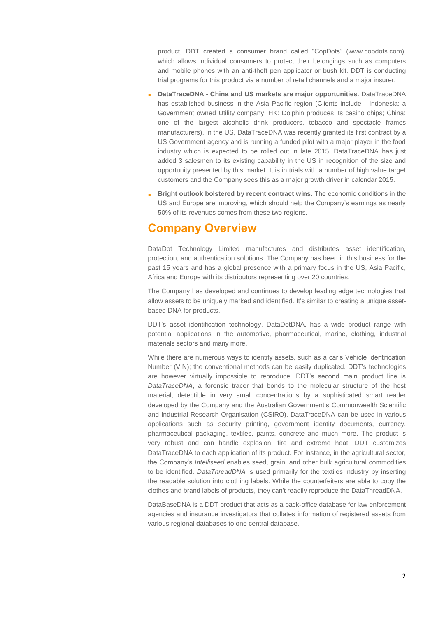product, DDT created a consumer brand called "CopDots" (www.copdots.com), which allows individual consumers to protect their belongings such as computers and mobile phones with an anti-theft pen applicator or bush kit. DDT is conducting trial programs for this product via a number of retail channels and a major insurer.

- **DataTraceDNA - China and US markets are major opportunities**. DataTraceDNA has established business in the Asia Pacific region (Clients include - Indonesia: a Government owned Utility company; HK: Dolphin produces its casino chips; China: one of the largest alcoholic drink producers, tobacco and spectacle frames manufacturers). In the US, DataTraceDNA was recently granted its first contract by a US Government agency and is running a funded pilot with a major player in the food industry which is expected to be rolled out in late 2015. DataTraceDNA has just added 3 salesmen to its existing capability in the US in recognition of the size and opportunity presented by this market. It is in trials with a number of high value target customers and the Company sees this as a major growth driver in calendar 2015.
- **Bright outlook bolstered by recent contract wins**. The economic conditions in the US and Europe are improving, which should help the Company's earnings as nearly 50% of its revenues comes from these two regions.

## **Company Overview**

DataDot Technology Limited manufactures and distributes asset identification, protection, and authentication solutions. The Company has been in this business for the past 15 years and has a global presence with a primary focus in the US, Asia Pacific, Africa and Europe with its distributors representing over 20 countries.

The Company has developed and continues to develop leading edge technologies that allow assets to be uniquely marked and identified. It's similar to creating a unique assetbased DNA for products.

DDT's asset identification technology, DataDotDNA, has a wide product range with potential applications in the automotive, pharmaceutical, marine, clothing, industrial materials sectors and many more.

While there are numerous ways to identify assets, such as a car's Vehicle Identification Number (VIN); the conventional methods can be easily duplicated. DDT's technologies are however virtually impossible to reproduce. DDT's second main product line is *DataTraceDNA*, a forensic tracer that bonds to the molecular structure of the host material, detectible in very small concentrations by a sophisticated smart reader developed by the Company and the Australian Government's Commonwealth Scientific and Industrial Research Organisation (CSIRO). DataTraceDNA can be used in various applications such as security printing, government identity documents, currency, pharmaceutical packaging, textiles, paints, concrete and much more. The product is very robust and can handle explosion, fire and extreme heat. DDT customizes DataTraceDNA to each application of its product. For instance, in the agricultural sector, the Company's *Intelliseed* enables seed, grain, and other bulk agricultural commodities to be identified. *DataThreadDNA* is used primarily for the textiles industry by inserting the readable solution into clothing labels. While the counterfeiters are able to copy the clothes and brand labels of products, they can't readily reproduce the DataThreadDNA.

DataBaseDNA is a DDT product that acts as a back-office database for law enforcement agencies and insurance investigators that collates information of registered assets from various regional databases to one central database.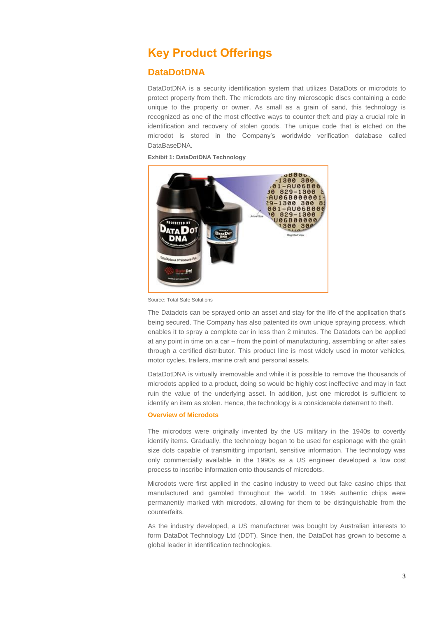## **Key Product Offerings**

## **DataDotDNA**

DataDotDNA is a security identification system that utilizes DataDots or microdots to protect property from theft. The microdots are tiny microscopic discs containing a code unique to the property or owner. As small as a grain of sand, this technology is recognized as one of the most effective ways to counter theft and play a crucial role in identification and recovery of stolen goods. The unique code that is etched on the microdot is stored in the Company's worldwide verification database called DataBaseDNA.

**Exhibit 1: DataDotDNA Technology**



Source: Total Safe Solutions

The Datadots can be sprayed onto an asset and stay for the life of the application that's being secured. The Company has also patented its own unique spraying process, which enables it to spray a complete car in less than 2 minutes. The Datadots can be applied at any point in time on a car – from the point of manufacturing, assembling or after sales through a certified distributor. This product line is most widely used in motor vehicles, motor cycles, trailers, marine craft and personal assets.

DataDotDNA is virtually irremovable and while it is possible to remove the thousands of microdots applied to a product, doing so would be highly cost ineffective and may in fact ruin the value of the underlying asset. In addition, just one microdot is sufficient to identify an item as stolen. Hence, the technology is a considerable deterrent to theft.

#### **Overview of Microdots**

The microdots were originally invented by the US military in the 1940s to covertly identify items. Gradually, the technology began to be used for espionage with the grain size dots capable of transmitting important, sensitive information. The technology was only commercially available in the 1990s as a US engineer developed a low cost process to inscribe information onto thousands of microdots.

Microdots were first applied in the casino industry to weed out fake casino chips that manufactured and gambled throughout the world. In 1995 authentic chips were permanently marked with microdots, allowing for them to be distinguishable from the counterfeits.

As the industry developed, a US manufacturer was bought by Australian interests to form DataDot Technology Ltd (DDT). Since then, the DataDot has grown to become a global leader in identification technologies.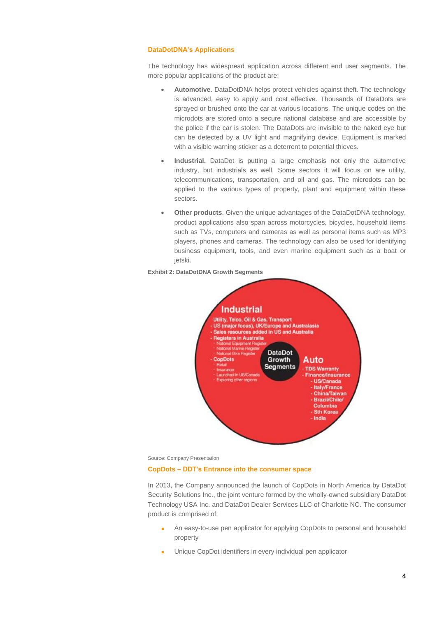#### **DataDotDNA's Applications**

The technology has widespread application across different end user segments. The more popular applications of the product are:

- **Automotive**. DataDotDNA helps protect vehicles against theft. The technology is advanced, easy to apply and cost effective. Thousands of DataDots are sprayed or brushed onto the car at various locations. The unique codes on the microdots are stored onto a secure national database and are accessible by the police if the car is stolen. The DataDots are invisible to the naked eye but can be detected by a UV light and magnifying device. Equipment is marked with a visible warning sticker as a deterrent to potential thieves.
- **Industrial.** DataDot is putting a large emphasis not only the automotive industry, but industrials as well. Some sectors it will focus on are utility, telecommunications, transportation, and oil and gas. The microdots can be applied to the various types of property, plant and equipment within these sectors.
- **Other products**. Given the unique advantages of the DataDotDNA technology, product applications also span across motorcycles, bicycles, household items such as TVs, computers and cameras as well as personal items such as MP3 players, phones and cameras. The technology can also be used for identifying business equipment, tools, and even marine equipment such as a boat or jetski.





Source: Company Presentation

#### **CopDots – DDT's Entrance into the consumer space**

In 2013, the Company announced the launch of CopDots in North America by DataDot Security Solutions Inc., the joint venture formed by the wholly-owned subsidiary DataDot Technology USA Inc. and DataDot Dealer Services LLC of Charlotte NC. The consumer product is comprised of:

- An easy-to-use pen applicator for applying CopDots to personal and household property
- Unique CopDot identifiers in every individual pen applicator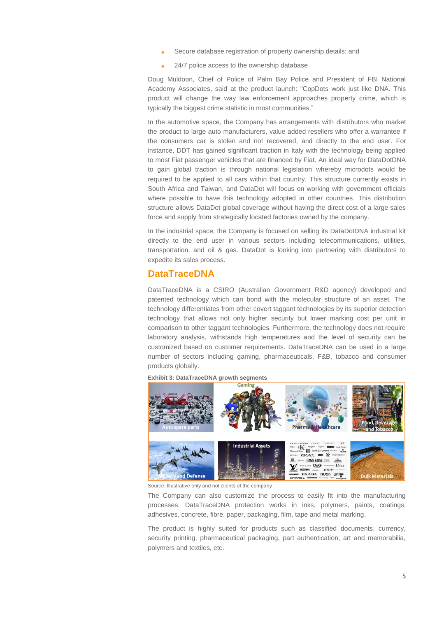- Secure database registration of property ownership details; and
- 24/7 police access to the ownership database

Doug Muldoon, Chief of Police of Palm Bay Police and President of FBI National Academy Associates, said at the product launch: "CopDots work just like DNA. This product will change the way law enforcement approaches property crime, which is typically the biggest crime statistic in most communities."

In the automotive space, the Company has arrangements with distributors who market the product to large auto manufacturers, value added resellers who offer a warrantee if the consumers car is stolen and not recovered, and directly to the end user. For instance, DDT has gained significant traction in Italy with the technology being applied to most Fiat passenger vehicles that are financed by Fiat. An ideal way for DataDotDNA to gain global traction is through national legislation whereby microdots would be required to be applied to all cars within that country. This structure currently exists in South Africa and Taiwan, and DataDot will focus on working with government officials where possible to have this technology adopted in other countries. This distribution structure allows DataDot global coverage without having the direct cost of a large sales force and supply from strategically located factories owned by the company.

In the industrial space, the Company is focused on selling its DataDotDNA industrial kit directly to the end user in various sectors including telecommunications, utilities, transportation, and oil & gas. DataDot is looking into partnering with distributors to expedite its sales process.

## **DataTraceDNA**

DataTraceDNA is a CSIRO (Australian Government R&D agency) developed and patented technology which can bond with the molecular structure of an asset. The technology differentiates from other covert taggant technologies by its superior detection technology that allows not only higher security but lower marking cost per unit in comparison to other taggant technologies. Furthermore, the technology does not require laboratory analysis, withstands high temperatures and the level of security can be customized based on customer requirements. DataTraceDNA can be used in a large number of sectors including gaming, pharmaceuticals, F&B, tobacco and consumer products globally.



**Exhibit 3: DataTraceDNA growth segments**

Source: Illustrative only and not clients of the company

The Company can also customize the process to easily fit into the manufacturing processes. DataTraceDNA protection works in inks, polymers, paints, coatings, adhesives, concrete, fibre, paper, packaging, film, tape and metal marking.

The product is highly suited for products such as classified documents, currency, security printing, pharmaceutical packaging, part authentication, art and memorabilia, polymers and textiles, etc.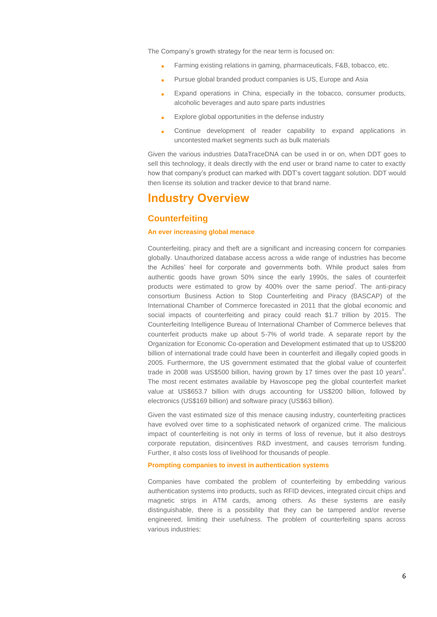The Company's growth strategy for the near term is focused on:

- Farming existing relations in gaming, pharmaceuticals, F&B, tobacco, etc.
- **Pursue global branded product companies is US, Europe and Asia**
- **Expand operations in China, especially in the tobacco, consumer products,** alcoholic beverages and auto spare parts industries
- Explore global opportunities in the defense industry
- **Continue development of reader capability to expand applications in** uncontested market segments such as bulk materials

Given the various industries DataTraceDNA can be used in or on, when DDT goes to sell this technology, it deals directly with the end user or brand name to cater to exactly how that company's product can marked with DDT's covert taggant solution. DDT would then license its solution and tracker device to that brand name.

## **Industry Overview**

## **Counterfeiting**

#### **An ever increasing global menace**

Counterfeiting, piracy and theft are a significant and increasing concern for companies globally. Unauthorized database access across a wide range of industries has become the Achilles' heel for corporate and governments both. While product sales from authentic goods have grown 50% since the early 1990s, the sales of counterfeit products were estimated to grow by 400% over the same period<sup>i</sup>. The anti-piracy consortium Business Action to Stop Counterfeiting and Piracy (BASCAP) of the International Chamber of Commerce forecasted in 2011 that the global economic and social impacts of counterfeiting and piracy could reach \$1.7 trillion by 2015. The Counterfeiting Intelligence Bureau of International Chamber of Commerce believes that counterfeit products make up about 5-7% of world trade. A separate report by the Organization for Economic Co-operation and Development estimated that up to US\$200 billion of international trade could have been in counterfeit and illegally copied goods in 2005. Furthermore, the US government estimated that the global value of counterfeit trade in 2008 was US\$500 billion, having grown by 17 times over the past 10 years<sup>ii</sup>. The most recent estimates available by Havoscope peg the global counterfeit market value at US\$653.7 billion with drugs accounting for US\$200 billion, followed by electronics (US\$169 billion) and software piracy (US\$63 billion).

Given the vast estimated size of this menace causing industry, counterfeiting practices have evolved over time to a sophisticated network of organized crime. The malicious impact of counterfeiting is not only in terms of loss of revenue, but it also destroys corporate reputation, disincentives R&D investment, and causes terrorism funding. Further, it also costs loss of livelihood for thousands of people.

#### **Prompting companies to invest in authentication systems**

Companies have combated the problem of counterfeiting by embedding various authentication systems into products, such as RFID devices, integrated circuit chips and magnetic strips in ATM cards, among others. As these systems are easily distinguishable, there is a possibility that they can be tampered and/or reverse engineered, limiting their usefulness. The problem of counterfeiting spans across various industries: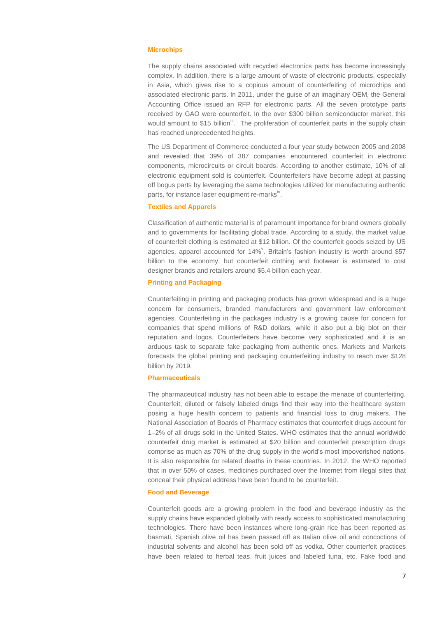#### **Microchips**

The supply chains associated with recycled electronics parts has become increasingly complex. In addition, there is a large amount of waste of electronic products, especially in Asia, which gives rise to a copious amount of counterfeiting of microchips and associated electronic parts. In 2011, under the guise of an imaginary OEM, the General Accounting Office issued an RFP for electronic parts. All the seven prototype parts received by GAO were counterfeit. In the over \$300 billion semiconductor market, this would amount to \$15 billion<sup>iii</sup>. The proliferation of counterfeit parts in the supply chain has reached unprecedented heights.

The US Department of Commerce conducted a four year study between 2005 and 2008 and revealed that 39% of 387 companies encountered counterfeit in electronic components, microcircuits or circuit boards. According to another estimate, 10% of all electronic equipment sold is counterfeit. Counterfeiters have become adept at passing off bogus parts by leveraging the same technologies utilized for manufacturing authentic parts, for instance laser equipment re-marks<sup>iv</sup>.

#### **Textiles and Apparels**

Classification of authentic material is of paramount importance for brand owners globally and to governments for facilitating global trade. According to a study, the market value of counterfeit clothing is estimated at \$12 billion. Of the counterfeit goods seized by US agencies, apparel accounted for 14%<sup>V</sup>. Britain's fashion industry is worth around \$57 billion to the economy, but counterfeit clothing and footwear is estimated to cost designer brands and retailers around \$5.4 billion each year.

#### **Printing and Packaging**

Counterfeiting in printing and packaging products has grown widespread and is a huge concern for consumers, branded manufacturers and government law enforcement agencies. Counterfeiting in the packages industry is a growing cause for concern for companies that spend millions of R&D dollars, while it also put a big blot on their reputation and logos. Counterfeiters have become very sophisticated and it is an arduous task to separate fake packaging from authentic ones. Markets and Markets forecasts the global printing and packaging counterfeiting industry to reach over \$128 billion by 2019.

#### **Pharmaceuticals**

The pharmaceutical industry has not been able to escape the menace of counterfeiting. Counterfeit, diluted or falsely labeled drugs find their way into the healthcare system posing a huge health concern to patients and financial loss to drug makers. The National Association of Boards of Pharmacy estimates that counterfeit drugs account for 1–2% of all drugs sold in the United States. WHO estimates that the annual worldwide counterfeit drug market is estimated at \$20 billion and counterfeit prescription drugs comprise as much as 70% of the drug supply in the world's most impoverished nations. It is also responsible for related deaths in these countries. In 2012, the WHO reported that in over 50% of cases, medicines purchased over the Internet from illegal sites that conceal their physical address have been found to be counterfeit.

#### **Food and Beverage**

Counterfeit goods are a growing problem in the food and beverage industry as the supply chains have expanded globally with ready access to sophisticated manufacturing technologies. There have been instances where long-grain rice has been reported as basmati, Spanish olive oil has been passed off as Italian olive oil and concoctions of industrial solvents and alcohol has been sold off as vodka. Other counterfeit practices have been related to herbal teas, fruit juices and labeled tuna, etc. Fake food and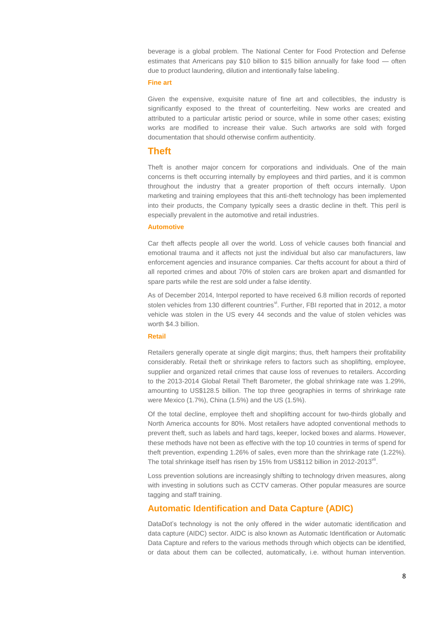beverage is a global problem. The National Center for Food Protection and Defense estimates that Americans pay \$10 billion to \$15 billion annually for fake food — often due to product laundering, dilution and intentionally false labeling.

#### **Fine art**

Given the expensive, exquisite nature of fine art and collectibles, the industry is significantly exposed to the threat of counterfeiting. New works are created and attributed to a particular artistic period or source, while in some other cases; existing works are modified to increase their value. Such artworks are sold with forged documentation that should otherwise confirm authenticity.

### **Theft**

Theft is another major concern for corporations and individuals. One of the main concerns is theft occurring internally by employees and third parties, and it is common throughout the industry that a greater proportion of theft occurs internally. Upon marketing and training employees that this anti-theft technology has been implemented into their products, the Company typically sees a drastic decline in theft. This peril is especially prevalent in the automotive and retail industries.

#### **Automotive**

Car theft affects people all over the world. Loss of vehicle causes both financial and emotional trauma and it affects not just the individual but also car manufacturers, law enforcement agencies and insurance companies. Car thefts account for about a third of all reported crimes and about 70% of stolen cars are broken apart and dismantled for spare parts while the rest are sold under a false identity.

As of December 2014, Interpol reported to have received 6.8 million records of reported stolen vehicles from 130 different countries<sup>vi</sup>. Further, FBI reported that in 2012, a motor vehicle was stolen in the US every 44 seconds and the value of stolen vehicles was worth \$4.3 billion.

#### **Retail**

Retailers generally operate at single digit margins; thus, theft hampers their profitability considerably. Retail theft or shrinkage refers to factors such as shoplifting, employee, supplier and organized retail crimes that cause loss of revenues to retailers. According to the 2013-2014 Global Retail Theft Barometer, the global shrinkage rate was 1.29%, amounting to US\$128.5 billion. The top three geographies in terms of shrinkage rate were Mexico (1.7%), China (1.5%) and the US (1.5%).

Of the total decline, employee theft and shoplifting account for two-thirds globally and North America accounts for 80%. Most retailers have adopted conventional methods to prevent theft, such as labels and hard tags, keeper, locked boxes and alarms. However, these methods have not been as effective with the top 10 countries in terms of spend for theft prevention, expending 1.26% of sales, even more than the shrinkage rate (1.22%). The total shrinkage itself has risen by 15% from US\$112 billion in 2012-2013 $^{\rm vi}$ .

Loss prevention solutions are increasingly shifting to technology driven measures, along with investing in solutions such as CCTV cameras. Other popular measures are source tagging and staff training.

### **Automatic Identification and Data Capture (ADIC)**

DataDot's technology is not the only offered in the wider automatic identification and data capture (AIDC) sector. AIDC is also known as Automatic Identification or Automatic Data Capture and refers to the various methods through which objects can be identified, or data about them can be collected, automatically, i.e. without human intervention.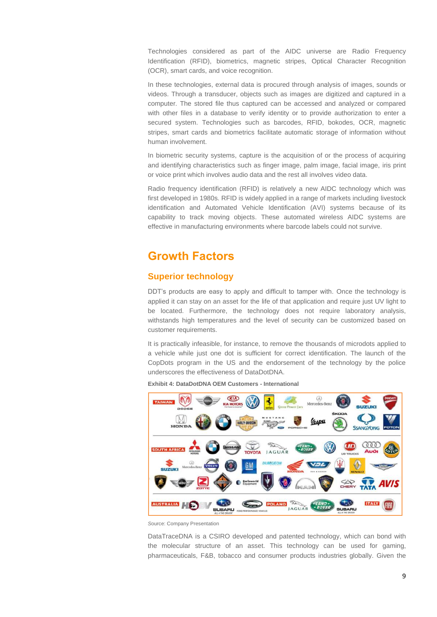Technologies considered as part of the AIDC universe are Radio Frequency Identification (RFID), biometrics, magnetic stripes, Optical Character Recognition (OCR), smart cards, and voice recognition.

In these technologies, external data is procured through analysis of images, sounds or videos. Through a transducer, objects such as images are digitized and captured in a computer. The stored file thus captured can be accessed and analyzed or compared with other files in a database to verify identity or to provide authorization to enter a secured system. Technologies such as barcodes, RFID, bokodes, OCR, magnetic stripes, smart cards and biometrics facilitate automatic storage of information without human involvement.

In biometric security systems, capture is the acquisition of or the process of acquiring and identifying characteristics such as finger image, palm image, facial image, iris print or voice print which involves audio data and the rest all involves video data.

Radio frequency identification (RFID) is relatively a new AIDC technology which was first developed in 1980s. RFID is widely applied in a range of markets including livestock identification and Automated Vehicle Identification (AVI) systems because of its capability to track moving objects. These automated wireless AIDC systems are effective in manufacturing environments where barcode labels could not survive.

## **Growth Factors**

### **Superior technology**

DDT's products are easy to apply and difficult to tamper with. Once the technology is applied it can stay on an asset for the life of that application and require just UV light to be located. Furthermore, the technology does not require laboratory analysis, withstands high temperatures and the level of security can be customized based on customer requirements.

It is practically infeasible, for instance, to remove the thousands of microdots applied to a vehicle while just one dot is sufficient for correct identification. The launch of the CopDots program in the US and the endorsement of the technology by the police underscores the effectiveness of DataDotDNA.



**Exhibit 4: DataDotDNA OEM Customers - International**

DataTraceDNA is a CSIRO developed and patented technology, which can bond with the molecular structure of an asset. This technology can be used for gaming, pharmaceuticals, F&B, tobacco and consumer products industries globally. Given the

*S*ource: Company Presentation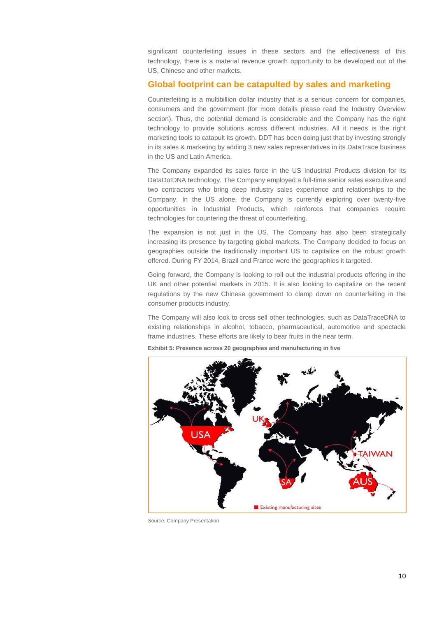significant counterfeiting issues in these sectors and the effectiveness of this technology, there is a material revenue growth opportunity to be developed out of the US, Chinese and other markets.

### **Global footprint can be catapulted by sales and marketing**

Counterfeiting is a multibillion dollar industry that is a serious concern for companies, consumers and the government (for more details please read the Industry Overview section). Thus, the potential demand is considerable and the Company has the right technology to provide solutions across different industries. All it needs is the right marketing tools to catapult its growth. DDT has been doing just that by investing strongly in its sales & marketing by adding 3 new sales representatives in its DataTrace business in the US and Latin America.

The Company expanded its sales force in the US Industrial Products division for its DataDotDNA technology. The Company employed a full-time senior sales executive and two contractors who bring deep industry sales experience and relationships to the Company. In the US alone, the Company is currently exploring over twenty-five opportunities in Industrial Products, which reinforces that companies require technologies for countering the threat of counterfeiting.

The expansion is not just in the US. The Company has also been strategically increasing its presence by targeting global markets. The Company decided to focus on geographies outside the traditionally important US to capitalize on the robust growth offered. During FY 2014, Brazil and France were the geographies it targeted.

Going forward, the Company is looking to roll out the industrial products offering in the UK and other potential markets in 2015. It is also looking to capitalize on the recent regulations by the new Chinese government to clamp down on counterfeiting in the consumer products industry.

The Company will also look to cross sell other technologies, such as DataTraceDNA to existing relationships in alcohol, tobacco, pharmaceutical, automotive and spectacle frame industries. These efforts are likely to bear fruits in the near term.



**Exhibit 5: Presence across 20 geographies and manufacturing in five**

*S*ource: Company Presentation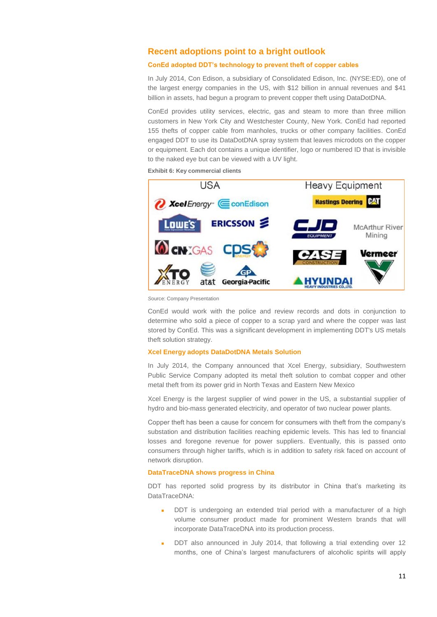### **Recent adoptions point to a bright outlook**

### **ConEd adopted DDT's technology to prevent theft of copper cables**

In July 2014, Con Edison, a subsidiary of Consolidated Edison, Inc. (NYSE:ED), one of the largest energy companies in the US, with \$12 billion in annual revenues and \$41 billion in assets, had begun a program to prevent copper theft using DataDotDNA.

ConEd provides utility services, electric, gas and steam to more than three million customers in New York City and Westchester County, New York. ConEd had reported 155 thefts of copper cable from manholes, trucks or other company facilities. ConEd engaged DDT to use its DataDotDNA spray system that leaves microdots on the copper or equipment. Each dot contains a unique identifier, logo or numbered ID that is invisible to the naked eye but can be viewed with a UV light.

**Exhibit 6: Key commercial clients**



*S*ource: Company Presentation

ConEd would work with the police and review records and dots in conjunction to determine who sold a piece of copper to a scrap yard and where the copper was last stored by ConEd. This was a significant development in implementing DDT's US metals theft solution strategy.

#### **Xcel Energy adopts DataDotDNA Metals Solution**

In July 2014, the Company announced that Xcel Energy, subsidiary, Southwestern Public Service Company adopted its metal theft solution to combat copper and other metal theft from its power grid in North Texas and Eastern New Mexico

Xcel Energy is the largest supplier of wind power in the US, a substantial supplier of hydro and bio-mass generated electricity, and operator of two nuclear power plants.

Copper theft has been a cause for concern for consumers with theft from the company's substation and distribution facilities reaching epidemic levels. This has led to financial losses and foregone revenue for power suppliers. Eventually, this is passed onto consumers through higher tariffs, which is in addition to safety risk faced on account of network disruption.

#### **DataTraceDNA shows progress in China**

DDT has reported solid progress by its distributor in China that's marketing its DataTraceDNA:

- DDT is undergoing an extended trial period with a manufacturer of a high volume consumer product made for prominent Western brands that will incorporate DataTraceDNA into its production process.
- DDT also announced in July 2014, that following a trial extending over 12 months, one of China's largest manufacturers of alcoholic spirits will apply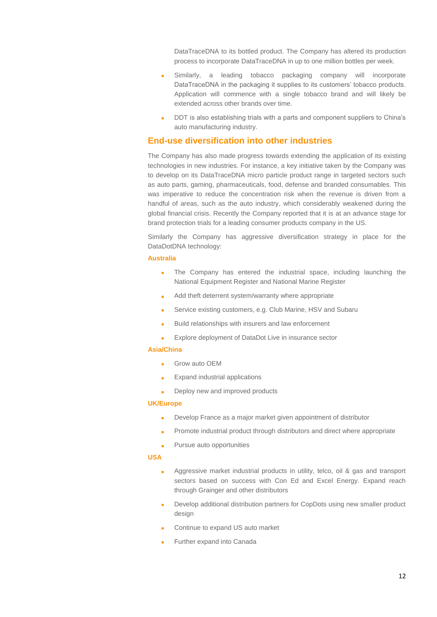DataTraceDNA to its bottled product. The Company has altered its production process to incorporate DataTraceDNA in up to one million bottles per week.

- **Similarly, a leading tobacco packaging company will incorporate** DataTraceDNA in the packaging it supplies to its customers' tobacco products. Application will commence with a single tobacco brand and will likely be extended across other brands over time.
- DDT is also establishing trials with a parts and component suppliers to China's auto manufacturing industry.

## **End-use diversification into other industries**

The Company has also made progress towards extending the application of its existing technologies in new industries. For instance, a key initiative taken by the Company was to develop on its DataTraceDNA micro particle product range in targeted sectors such as auto parts, gaming, pharmaceuticals, food, defense and branded consumables. This was imperative to reduce the concentration risk when the revenue is driven from a handful of areas, such as the auto industry, which considerably weakened during the global financial crisis. Recently the Company reported that it is at an advance stage for brand protection trials for a leading consumer products company in the US.

Similarly the Company has aggressive diversification strategy in place for the DataDotDNA technology:

#### **Australia**

- **The Company has entered the industrial space, including launching the** National Equipment Register and National Marine Register
- Add theft deterrent system/warranty where appropriate
- **Service existing customers, e.g. Club Marine, HSV and Subaru**
- **Build relationships with insurers and law enforcement**
- Explore deployment of DataDot Live in insurance sector

#### **Asia/China**

- Grow auto OEM
- **Expand industrial applications**
- Deploy new and improved products

#### **UK/Europe**

- Develop France as a major market given appointment of distributor
- Promote industrial product through distributors and direct where appropriate
- **Pursue auto opportunities**

#### **USA**

- Aggressive market industrial products in utility, telco, oil & gas and transport sectors based on success with Con Ed and Excel Energy. Expand reach through Grainger and other distributors
- Develop additional distribution partners for CopDots using new smaller product design
- Continue to expand US auto market
- Further expand into Canada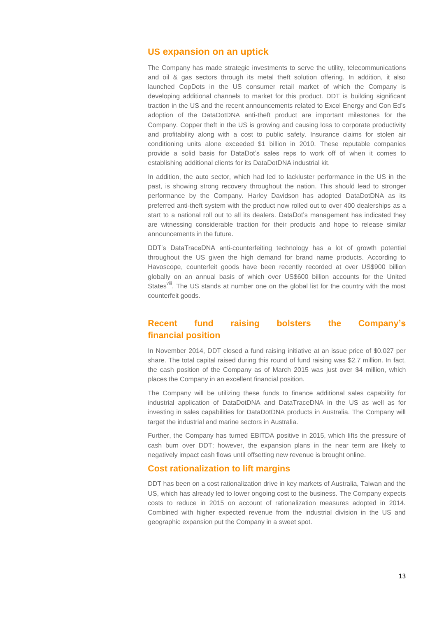## **US expansion on an uptick**

The Company has made strategic investments to serve the utility, telecommunications and oil & gas sectors through its metal theft solution offering. In addition, it also launched CopDots in the US consumer retail market of which the Company is developing additional channels to market for this product. DDT is building significant traction in the US and the recent announcements related to Excel Energy and Con Ed's adoption of the DataDotDNA anti-theft product are important milestones for the Company. Copper theft in the US is growing and causing loss to corporate productivity and profitability along with a cost to public safety. Insurance claims for stolen air conditioning units alone exceeded \$1 billion in 2010. These reputable companies provide a solid basis for DataDot's sales reps to work off of when it comes to establishing additional clients for its DataDotDNA industrial kit.

In addition, the auto sector, which had led to lackluster performance in the US in the past, is showing strong recovery throughout the nation. This should lead to stronger performance by the Company. Harley Davidson has adopted DataDotDNA as its preferred anti-theft system with the product now rolled out to over 400 dealerships as a start to a national roll out to all its dealers. DataDot's management has indicated they are witnessing considerable traction for their products and hope to release similar announcements in the future.

DDT's DataTraceDNA anti-counterfeiting technology has a lot of growth potential throughout the US given the high demand for brand name products. According to Havoscope, counterfeit goods have been recently recorded at over US\$900 billion globally on an annual basis of which over US\$600 billion accounts for the United States<sup>viii</sup>. The US stands at number one on the global list for the country with the most counterfeit goods.

## **Recent fund raising bolsters the Company's financial position**

In November 2014, DDT closed a fund raising initiative at an issue price of \$0.027 per share. The total capital raised during this round of fund raising was \$2.7 million. In fact, the cash position of the Company as of March 2015 was just over \$4 million, which places the Company in an excellent financial position.

The Company will be utilizing these funds to finance additional sales capability for industrial application of DataDotDNA and DataTraceDNA in the US as well as for investing in sales capabilities for DataDotDNA products in Australia. The Company will target the industrial and marine sectors in Australia.

Further, the Company has turned EBITDA positive in 2015, which lifts the pressure of cash burn over DDT; however, the expansion plans in the near term are likely to negatively impact cash flows until offsetting new revenue is brought online.

### **Cost rationalization to lift margins**

DDT has been on a cost rationalization drive in key markets of Australia, Taiwan and the US, which has already led to lower ongoing cost to the business. The Company expects costs to reduce in 2015 on account of rationalization measures adopted in 2014. Combined with higher expected revenue from the industrial division in the US and geographic expansion put the Company in a sweet spot.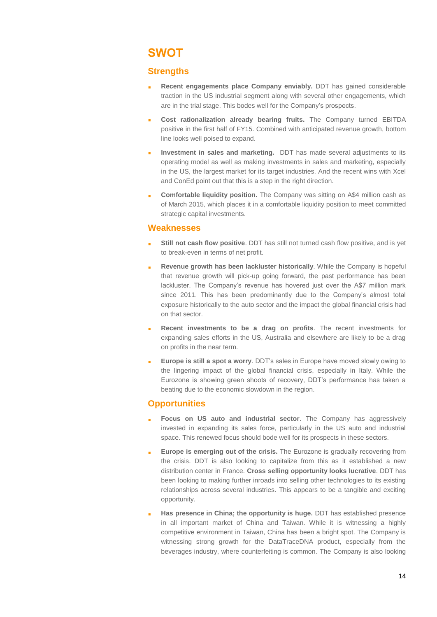## **SWOT**

## **Strengths**

- **Recent engagements place Company enviably.** DDT has gained considerable traction in the US industrial segment along with several other engagements, which are in the trial stage. This bodes well for the Company's prospects.
- **Cost rationalization already bearing fruits.** The Company turned EBITDA positive in the first half of FY15. Combined with anticipated revenue growth, bottom line looks well poised to expand.
- **Investment in sales and marketing.** DDT has made several adjustments to its operating model as well as making investments in sales and marketing, especially in the US, the largest market for its target industries. And the recent wins with Xcel and ConEd point out that this is a step in the right direction.
- **Comfortable liquidity position.** The Company was sitting on A\$4 million cash as of March 2015, which places it in a comfortable liquidity position to meet committed strategic capital investments.

### **Weaknesses**

- **Still not cash flow positive**. DDT has still not turned cash flow positive, and is yet to break-even in terms of net profit.
- **Revenue growth has been lackluster historically**. While the Company is hopeful that revenue growth will pick-up going forward, the past performance has been lackluster. The Company's revenue has hovered just over the A\$7 million mark since 2011. This has been predominantly due to the Company's almost total exposure historically to the auto sector and the impact the global financial crisis had on that sector.
- **Recent investments to be a drag on profits**. The recent investments for expanding sales efforts in the US, Australia and elsewhere are likely to be a drag on profits in the near term.
- **Europe is still a spot a worry**. DDT's sales in Europe have moved slowly owing to the lingering impact of the global financial crisis, especially in Italy. While the Eurozone is showing green shoots of recovery, DDT's performance has taken a beating due to the economic slowdown in the region.

## **Opportunities**

- **Focus on US auto and industrial sector**. The Company has aggressively invested in expanding its sales force, particularly in the US auto and industrial space. This renewed focus should bode well for its prospects in these sectors.
- **Europe is emerging out of the crisis.** The Eurozone is gradually recovering from the crisis. DDT is also looking to capitalize from this as it established a new distribution center in France. **Cross selling opportunity looks lucrative**. DDT has been looking to making further inroads into selling other technologies to its existing relationships across several industries. This appears to be a tangible and exciting opportunity.
- **Has presence in China; the opportunity is huge.** DDT has established presence in all important market of China and Taiwan. While it is witnessing a highly competitive environment in Taiwan, China has been a bright spot. The Company is witnessing strong growth for the DataTraceDNA product, especially from the beverages industry, where counterfeiting is common. The Company is also looking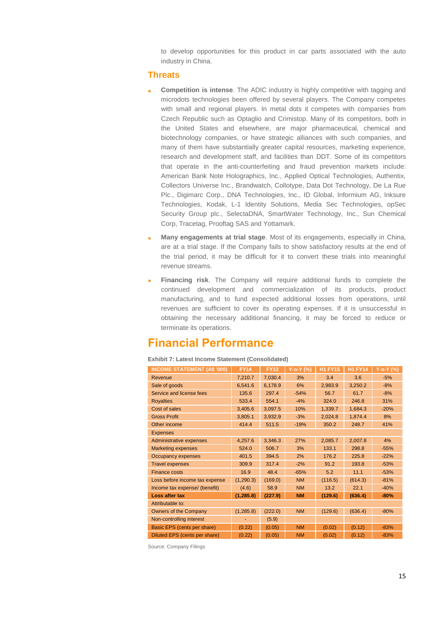to develop opportunities for this product in car parts associated with the auto industry in China.

### **Threats**

- **Competition is intense**. The ADIC industry is highly competitive with tagging and microdots technologies been offered by several players. The Company competes with small and regional players. In metal dots it competes with companies from Czech Republic such as Optaglio and Crimistop. Many of its competitors, both in the United States and elsewhere, are major pharmaceutical, chemical and biotechnology companies, or have strategic alliances with such companies, and many of them have substantially greater capital resources, marketing experience, research and development staff, and facilities than DDT. Some of its competitors that operate in the anti-counterfeiting and fraud prevention markets include: American Bank Note Holographics, Inc., Applied Optical Technologies, Authentix, Collectors Universe Inc., Brandwatch, Collotype, Data Dot Technology, De La Rue Plc., Digimarc Corp., DNA Technologies, Inc., ID Global, Informium AG, Inksure Technologies, Kodak, L-1 Identity Solutions, Media Sec Technologies, opSec Security Group plc., SelectaDNA, SmartWater Technology, Inc., Sun Chemical Corp, Tracetag, Prooftag SAS and Yottamark.
- **Many engagements at trial stage**. Most of its engagements, especially in China, are at a trial stage. If the Company fails to show satisfactory results at the end of the trial period, it may be difficult for it to convert these trials into meaningful revenue streams.
- **Financing risk**. The Company will require additional funds to complete the continued development and commercialization of its products, product manufacturing, and to fund expected additional losses from operations, until revenues are sufficient to cover its operating expenses. If it is unsuccessful in obtaining the necessary additional financing, it may be forced to reduce or terminate its operations.

## **Financial Performance**

#### **Exhibit 7: Latest Income Statement (Consolidated)**

| <b>INCOME STATEMENT (A\$ '000)</b> | <b>FY14</b> | <b>FY13</b> | Y-o-Y (%) | <b>H1 FY15</b> | <b>H1 FY14</b> | Y-o-Y (%) |
|------------------------------------|-------------|-------------|-----------|----------------|----------------|-----------|
| Revenue                            | 7,210.7     | 7,030.4     | 3%        | 3.4            | 3.6            | $-5%$     |
| Sale of goods                      | 6,541.6     | 6,178.9     | 6%        | 2,983.9        | 3,250.2        | $-8%$     |
| Service and license fees           | 135.6       | 297.4       | $-54%$    | 56.7           | 61.7           | $-8%$     |
| <b>Royalties</b>                   | 533.4       | 554.1       | $-4%$     | 324.0          | 246.8          | 31%       |
| Cost of sales                      | 3,405.6     | 3,097.5     | 10%       | 1,339.7        | 1,684.3        | $-20%$    |
| <b>Gross Profit</b>                | 3,805.1     | 3,932.9     | $-3%$     | 2,024.8        | 1,874.4        | 8%        |
| Other income                       | 414.4       | 511.5       | $-19%$    | 350.2          | 248.7          | 41%       |
| <b>Expenses</b>                    |             |             |           |                |                |           |
| <b>Administrative expenses</b>     | 4,257.6     | 3,346.3     | 27%       | 2,085.7        | 2,007.8        | 4%        |
| <b>Marketing expenses</b>          | 524.0       | 506.7       | 3%        | 133.1          | 298.8          | $-55%$    |
| Occupancy expenses                 | 401.5       | 394.5       | 2%        | 176.2          | 225.8          | $-22%$    |
| <b>Travel expenses</b>             | 309.9       | 317.4       | $-2%$     | 91.2           | 193.8          | $-53%$    |
| <b>Finance costs</b>               | 16.9        | 48.4        | $-65%$    | 5.2            | 11.1           | $-53%$    |
| Loss before income tax expense     | (1, 290.3)  | (169.0)     | <b>NM</b> | (116.5)        | (614.3)        | $-81%$    |
| Income tax expense/ (benefit)      | (4.6)       | 58.9        | <b>NM</b> | 13.2           | 22.1           | $-40%$    |
| Loss after tax                     | (1, 285.8)  | (227.9)     | <b>NM</b> | (129.6)        | (636.4)        | $-80%$    |
| Attributable to:                   |             |             |           |                |                |           |
| Owners of the Company              | (1, 285.8)  | (222.0)     | <b>NM</b> | (129.6)        | (636.4)        | $-80%$    |
| Non-controlling interest           |             | (5.9)       |           |                |                |           |
| Basic EPS (cents per share)        | (0.22)      | (0.05)      | <b>NM</b> | (0.02)         | (0.12)         | $-83%$    |
| Diluted EPS (cents per share)      | (0.22)      | (0.05)      | <b>NM</b> | (0.02)         | (0.12)         | $-83%$    |

Source: Company Filings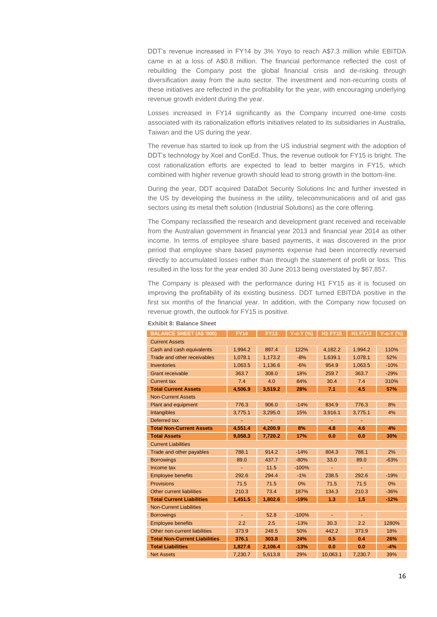DDT's revenue increased in FY14 by 3% Yoyo to reach A\$7.3 million while EBITDA came in at a loss of A\$0.8 million. The financial performance reflected the cost of rebuilding the Company post the global financial crisis and de-risking through diversification away from the auto sector. The investment and non-recurring costs of these initiatives are reflected in the profitability for the year, with encouraging underlying revenue growth evident during the year.

Losses increased in FY14 significantly as the Company incurred one-time costs associated with its rationalization efforts initiatives related to its subsidiaries in Australia, Taiwan and the US during the year.

The revenue has started to look up from the US industrial segment with the adoption of DDT's technology by Xcel and ConEd. Thus, the revenue outlook for FY15 is bright. The cost rationalization efforts are expected to lead to better margins in FY15, which combined with higher revenue growth should lead to strong growth in the bottom-line.

During the year, DDT acquired DataDot Security Solutions Inc and further invested in the US by developing the business in the utility, telecommunications and oil and gas sectors using its metal theft solution (Industrial Solutions) as the core offering.

The Company reclassified the research and development grant received and receivable from the Australian government in financial year 2013 and financial year 2014 as other income. In terms of employee share based payments, it was discovered in the prior period that employee share based payments expense had been incorrectly reversed directly to accumulated losses rather than through the statement of profit or loss. This resulted in the loss for the year ended 30 June 2013 being overstated by \$67,857.

The Company is pleased with the performance during H1 FY15 as it is focused on improving the profitability of its existing business. DDT turned EBITDA positive in the first six months of the financial year. In addition, with the Company now focused on revenue growth, the outlook for FY15 is positive.

| <b>BALANCE SHEET (A\$ '000)</b>      | <b>FY14</b> | <b>FY13</b> | $Y$ -o-Y $(%)$ | <b>H1 FY15</b> | <b>H1 FY14</b> | Y-o-Y (%) |
|--------------------------------------|-------------|-------------|----------------|----------------|----------------|-----------|
| <b>Current Assets</b>                |             |             |                |                |                |           |
| Cash and cash equivalents            | 1,994.2     | 897.4       | 122%           | 4,182.2        | 1,994.2        | 110%      |
| Trade and other receivables          | 1,078.1     | 1,173.2     | $-8%$          | 1,639.1        | 1,078.1        | 52%       |
| Inventories                          | 1,063.5     | 1,136.6     | $-6%$          | 954.9          | 1,063.5        | $-10%$    |
| <b>Grant receivable</b>              | 363.7       | 308.0       | 18%            | 259.7          | 363.7          | $-29%$    |
| <b>Current tax</b>                   | 7.4         | 4.0         | 84%            | 30.4           | 7.4            | 310%      |
| <b>Total Current Assets</b>          | 4,506.9     | 3,519.2     | 28%            | 7.1            | 4.5            | 57%       |
| <b>Non-Current Assets</b>            |             |             |                |                |                |           |
| Plant and equipment                  | 776.3       | 906.0       | $-14%$         | 834.9          | 776.3          | 8%        |
| <b>Intangibles</b>                   | 3,775.1     | 3,295.0     | 15%            | 3,916.1        | 3,775.1        | 4%        |
| Deferred tax                         |             |             |                |                |                |           |
| <b>Total Non-Current Assets</b>      | 4.551.4     | 4.200.9     | 8%             | 4.8            | 4.6            | 4%        |
| <b>Total Assets</b>                  | 9,058.3     | 7,720.2     | 17%            | 0.0            | 0.0            | 30%       |
| <b>Current Liabilities</b>           |             |             |                |                |                |           |
| Trade and other payables             | 788.1       | 914.2       | $-14%$         | 804.3          | 788.1          | 2%        |
| <b>Borrowings</b>                    | 89.0        | 437.7       | $-80%$         | 33.0           | 89.0           | $-63%$    |
| Income tax                           |             | 11.5        | $-100%$        |                |                |           |
| <b>Employee benefits</b>             | 292.6       | 294.4       | $-1%$          | 238.5          | 292.6          | $-19%$    |
| <b>Provisions</b>                    | 71.5        | 71.5        | 0%             | 71.5           | 71.5           | 0%        |
| Other current liabilities            | 210.3       | 73.4        | 187%           | 134.3          | 210.3          | $-36%$    |
| <b>Total Current Liabilities</b>     | 1,451.5     | 1,802.6     | $-19%$         | 1.3            | 1.5            | $-12%$    |
| <b>Non-Current Liabilities</b>       |             |             |                |                |                |           |
| <b>Borrowings</b>                    | Ξ           | 52.8        | $-100%$        | ä,             | $\blacksquare$ |           |
| <b>Employee benefits</b>             | 2.2         | 2.5         | $-13%$         | 30.3           | 2.2            | 1280%     |
| Other non-current liabilities        | 373.9       | 248.5       | 50%            | 442.2          | 373.9          | 18%       |
| <b>Total Non-Current Liabilities</b> | 376.1       | 303.8       | 24%            | 0.5            | 0.4            | 26%       |
| <b>Total Liabilities</b>             | 1,827.6     | 2,106.4     | $-13%$         | 0.0            | 0.0            | $-4%$     |
| <b>Net Assets</b>                    | 7,230.7     | 5,613.8     | 29%            | 10,063.1       | 7,230.7        | 39%       |

#### **Exhibit 8: Balance Sheet**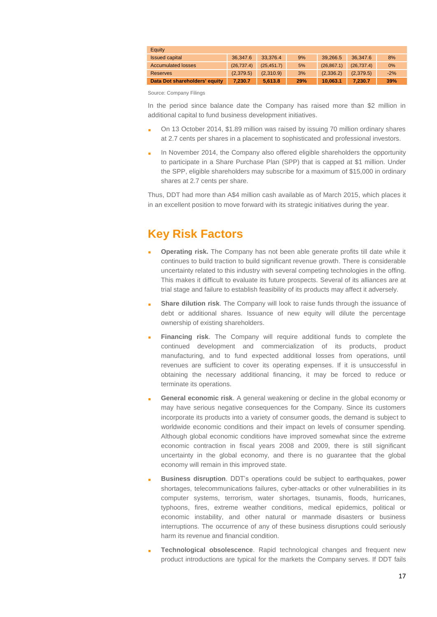| Equity                        |             |             |     |             |             |       |
|-------------------------------|-------------|-------------|-----|-------------|-------------|-------|
| <b>Issued capital</b>         | 36.347.6    | 33.376.4    | 9%  | 39.266.5    | 36,347.6    | 8%    |
| <b>Accumulated losses</b>     | (26, 737.4) | (25, 451.7) | 5%  | (26, 867.1) | (26, 737.4) | $0\%$ |
| Reserves                      | (2,379.5)   | (2,310.9)   | 3%  | (2,336.2)   | (2.379.5)   | $-2%$ |
| Data Dot shareholders' equity | 7.230.7     | 5.613.8     | 29% | 10.063.1    | 7.230.7     | 39%   |

Source: Company Filings

In the period since balance date the Company has raised more than \$2 million in additional capital to fund business development initiatives.

- On 13 October 2014, \$1.89 million was raised by issuing 70 million ordinary shares at 2.7 cents per shares in a placement to sophisticated and professional investors.
- In November 2014, the Company also offered eligible shareholders the opportunity to participate in a Share Purchase Plan (SPP) that is capped at \$1 million. Under the SPP, eligible shareholders may subscribe for a maximum of \$15,000 in ordinary shares at 2.7 cents per share.

Thus, DDT had more than A\$4 million cash available as of March 2015, which places it in an excellent position to move forward with its strategic initiatives during the year.

# **Key Risk Factors**

- **Operating risk.** The Company has not been able generate profits till date while it continues to build traction to build significant revenue growth. There is considerable uncertainty related to this industry with several competing technologies in the offing. This makes it difficult to evaluate its future prospects. Several of its alliances are at trial stage and failure to establish feasibility of its products may affect it adversely.
- **Share dilution risk**. The Company will look to raise funds through the issuance of debt or additional shares. Issuance of new equity will dilute the percentage ownership of existing shareholders.
- **Financing risk**. The Company will require additional funds to complete the continued development and commercialization of its products, product manufacturing, and to fund expected additional losses from operations, until revenues are sufficient to cover its operating expenses. If it is unsuccessful in obtaining the necessary additional financing, it may be forced to reduce or terminate its operations.
- **General economic risk**. A general weakening or decline in the global economy or may have serious negative consequences for the Company. Since its customers incorporate its products into a variety of consumer goods, the demand is subject to worldwide economic conditions and their impact on levels of consumer spending. Although global economic conditions have improved somewhat since the extreme economic contraction in fiscal years 2008 and 2009, there is still significant uncertainty in the global economy, and there is no guarantee that the global economy will remain in this improved state.
- **Business disruption**. DDT's operations could be subject to earthquakes, power shortages, telecommunications failures, cyber-attacks or other vulnerabilities in its computer systems, terrorism, water shortages, tsunamis, floods, hurricanes, typhoons, fires, extreme weather conditions, medical epidemics, political or economic instability, and other natural or manmade disasters or business interruptions. The occurrence of any of these business disruptions could seriously harm its revenue and financial condition.
- **Technological obsolescence**. Rapid technological changes and frequent new product introductions are typical for the markets the Company serves. If DDT fails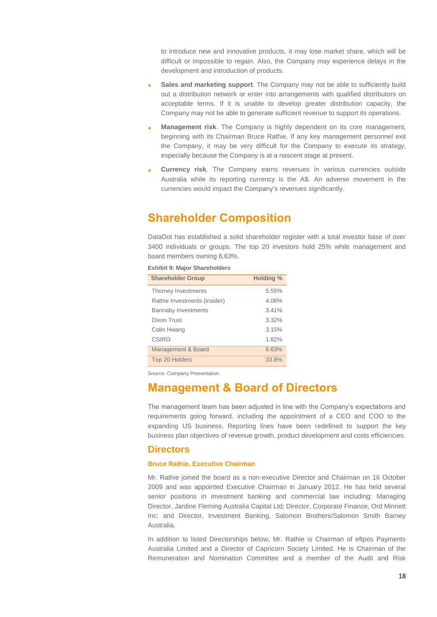to introduce new and innovative products, it may lose market share, which will be difficult or impossible to regain. Also, the Company may experience delays in the development and introduction of products.

- **Sales and marketing support**. The Company may not be able to sufficiently build out a distribution network or enter into arrangements with qualified distributors on acceptable terms. If it is unable to develop greater distribution capacity, the Company may not be able to generate sufficient revenue to support its operations.
- **Management risk**. The Company is highly dependent on its core management, beginning with its Chairman Bruce Rathie. If any key management personnel exit the Company, it may be very difficult for the Company to execute its strategy, especially because the Company is at a nascent stage at present.
- **Currency risk**. The Company earns revenues in various currencies outside Australia while its reporting currency is the A\$. An adverse movement in the currencies would impact the Company's revenues significantly.

## **Shareholder Composition**

DataDot has established a solid shareholder register with a total investor base of over 3400 individuals or groups. The top 20 investors hold 25% while management and board members owning 6.63%.

| <b>Exhibit 9: Major Shareholders</b> |                  |  |  |  |  |  |
|--------------------------------------|------------------|--|--|--|--|--|
| <b>Shareholder Group</b>             | <b>Holding %</b> |  |  |  |  |  |
| Thorney Investments                  | 5.55%            |  |  |  |  |  |
| Rathie Investments (insider)         | 4.06%            |  |  |  |  |  |
| <b>Bannaby Investments</b>           | 3.41%            |  |  |  |  |  |
| Dixon Trust                          | 3.32%            |  |  |  |  |  |
| Colin Hwang                          | 3.15%            |  |  |  |  |  |
| CSIRO                                | 1.82%            |  |  |  |  |  |
| Management & Board                   | 6.63%            |  |  |  |  |  |
| Top 20 Holders                       | 33.8%            |  |  |  |  |  |

Source: Company Presentation

## **Management & Board of Directors**

The management team has been adjusted in line with the Company's expectations and requirements going forward, including the appointment of a CEO and COO to the expanding US business. Reporting lines have been redefined to support the key business plan objectives of revenue growth, product development and costs efficiencies.

## **Directors**

#### **Bruce Rathie, Executive Chairman**

Mr. Rathie joined the board as a non-executive Director and Chairman on 16 October 2009 and was appointed Executive Chairman in January 2012. He has held several senior positions in investment banking and commercial law including: Managing Director, Jardine Fleming Australia Capital Ltd; Director, Corporate Finance, Ord Minnett Inc; and Director, Investment Banking, Salomon Brothers/Salomon Smith Barney Australia.

In addition to listed Directorships below, Mr. Rathie is Chairman of eftpos Payments Australia Limited and a Director of Capricorn Society Limited. He is Chairman of the Remuneration and Nomination Committee and a member of the Audit and Risk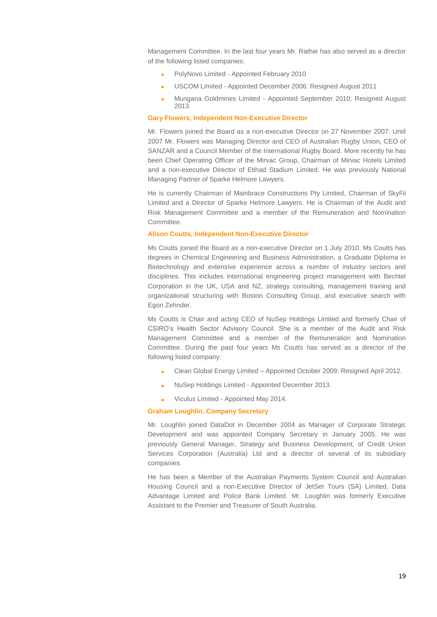Management Committee. In the last four years Mr. Rathie has also served as a director of the following listed companies:

- PolyNovo Limited Appointed February 2010
- USCOM Limited Appointed December 2006: Resigned August 2011
- Mungana Goldmines Limited Appointed September 2010; Resigned August 2013.

#### **Gary Flowers, Independent Non-Executive Director**

Mr. Flowers joined the Board as a non-executive Director on 27 November 2007. Until 2007 Mr. Flowers was Managing Director and CEO of Australian Rugby Union, CEO of SANZAR and a Council Member of the International Rugby Board. More recently he has been Chief Operating Officer of the Mirvac Group, Chairman of Mirvac Hotels Limited and a non-executive Director of Etihad Stadium Limited. He was previously National Managing Partner of Sparke Helmore Lawyers.

He is currently Chairman of Mainbrace Constructions Pty Limited, Chairman of SkyFii Limited and a Director of Sparke Helmore Lawyers. He is Chairman of the Audit and Risk Management Committee and a member of the Remuneration and Nomination Committee.

#### **Alison Coutts, Independent Non-Executive Director**

Ms Coutts joined the Board as a non-executive Director on 1 July 2010. Ms Coutts has degrees in Chemical Engineering and Business Administration, a Graduate Diploma in Biotechnology and extensive experience across a number of industry sectors and disciplines. This includes international engineering project management with Bechtel Corporation in the UK, USA and NZ, strategy consulting, management training and organizational structuring with Boston Consulting Group, and executive search with Egon Zehnder.

Ms Coutts is Chair and acting CEO of NuSep Holdings Limited and formerly Chair of CSIRO's Health Sector Advisory Council. She is a member of the Audit and Risk Management Committee and a member of the Remuneration and Nomination Committee. During the past four years Ms Coutts has served as a director of the following listed company:

- Clean Global Energy Limited Appointed October 2009; Resigned April 2012.
- NuSep Holdings Limited Appointed December 2013.
- Viculus Limited Appointed May 2014.

#### **Graham Loughlin, Company Secretary**

Mr. Loughlin joined DataDot in December 2004 as Manager of Corporate Strategic Development and was appointed Company Secretary in January 2005. He was previously General Manager, Strategy and Business Development, of Credit Union Services Corporation (Australia) Ltd and a director of several of its subsidiary companies.

He has been a Member of the Australian Payments System Council and Australian Housing Council and a non-Executive Director of JetSet Tours (SA) Limited, Data Advantage Limited and Police Bank Limited. Mr. Loughlin was formerly Executive Assistant to the Premier and Treasurer of South Australia.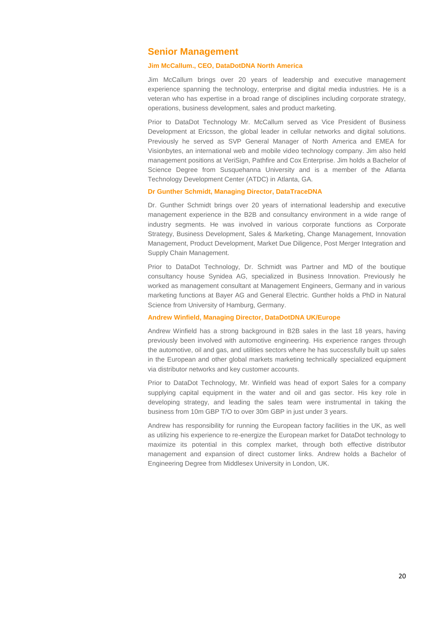### **Senior Management**

#### **Jim McCallum., CEO, DataDotDNA North America**

Jim McCallum brings over 20 years of leadership and executive management experience spanning the technology, enterprise and digital media industries. He is a veteran who has expertise in a broad range of disciplines including corporate strategy, operations, business development, sales and product marketing.

Prior to DataDot Technology Mr. McCallum served as Vice President of Business Development at Ericsson, the global leader in cellular networks and digital solutions. Previously he served as SVP General Manager of North America and EMEA for Visionbytes, an international web and mobile video technology company. Jim also held management positions at VeriSign, Pathfire and Cox Enterprise. Jim holds a Bachelor of Science Degree from Susquehanna University and is a member of the Atlanta Technology Development Center (ATDC) in Atlanta, GA.

#### **Dr Gunther Schmidt, Managing Director, DataTraceDNA**

Dr. Gunther Schmidt brings over 20 years of international leadership and executive management experience in the B2B and consultancy environment in a wide range of industry segments. He was involved in various corporate functions as Corporate Strategy, Business Development, Sales & Marketing, Change Management, Innovation Management, Product Development, Market Due Diligence, Post Merger Integration and Supply Chain Management.

Prior to DataDot Technology, Dr. Schmidt was Partner and MD of the boutique consultancy house Synidea AG, specialized in Business Innovation. Previously he worked as management consultant at Management Engineers, Germany and in various marketing functions at Bayer AG and General Electric. Gunther holds a PhD in Natural Science from University of Hamburg, Germany.

#### **Andrew Winfield, Managing Director, DataDotDNA UK/Europe**

Andrew Winfield has a strong background in B2B sales in the last 18 years, having previously been involved with automotive engineering. His experience ranges through the automotive, oil and gas, and utilities sectors where he has successfully built up sales in the European and other global markets marketing technically specialized equipment via distributor networks and key customer accounts.

Prior to DataDot Technology, Mr. Winfield was head of export Sales for a company supplying capital equipment in the water and oil and gas sector. His key role in developing strategy, and leading the sales team were instrumental in taking the business from 10m GBP T/O to over 30m GBP in just under 3 years.

Andrew has responsibility for running the European factory facilities in the UK, as well as utilizing his experience to re-energize the European market for DataDot technology to maximize its potential in this complex market, through both effective distributor management and expansion of direct customer links. Andrew holds a Bachelor of Engineering Degree from Middlesex University in London, UK.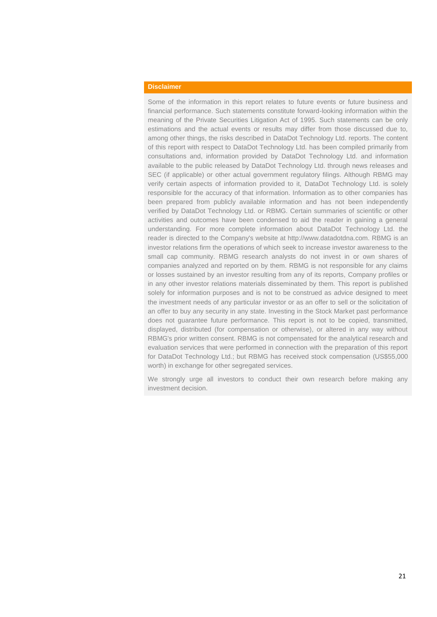### **Disclaimer**

Some of the information in this report relates to future events or future business and financial performance. Such statements constitute forward-looking information within the meaning of the Private Securities Litigation Act of 1995. Such statements can be only estimations and the actual events or results may differ from those discussed due to, among other things, the risks described in DataDot Technology Ltd. reports. The content of this report with respect to DataDot Technology Ltd. has been compiled primarily from consultations and, information provided by DataDot Technology Ltd. and information available to the public released by DataDot Technology Ltd. through news releases and SEC (if applicable) or other actual government regulatory filings. Although RBMG may verify certain aspects of information provided to it, DataDot Technology Ltd. is solely responsible for the accuracy of that information. Information as to other companies has been prepared from publicly available information and has not been independently verified by DataDot Technology Ltd. or RBMG. Certain summaries of scientific or other activities and outcomes have been condensed to aid the reader in gaining a general understanding. For more complete information about DataDot Technology Ltd. the reader is directed to the Company's website at http://www.datadotdna.com. RBMG is an investor relations firm the operations of which seek to increase investor awareness to the small cap community. RBMG research analysts do not invest in or own shares of companies analyzed and reported on by them. RBMG is not responsible for any claims or losses sustained by an investor resulting from any of its reports, Company profiles or in any other investor relations materials disseminated by them. This report is published solely for information purposes and is not to be construed as advice designed to meet the investment needs of any particular investor or as an offer to sell or the solicitation of an offer to buy any security in any state. Investing in the Stock Market past performance does not guarantee future performance. This report is not to be copied, transmitted, displayed, distributed (for compensation or otherwise), or altered in any way without RBMG's prior written consent. RBMG is not compensated for the analytical research and evaluation services that were performed in connection with the preparation of this report for DataDot Technology Ltd.; but RBMG has received stock compensation (US\$55,000 worth) in exchange for other segregated services.

We strongly urge all investors to conduct their own research before making any investment decision.